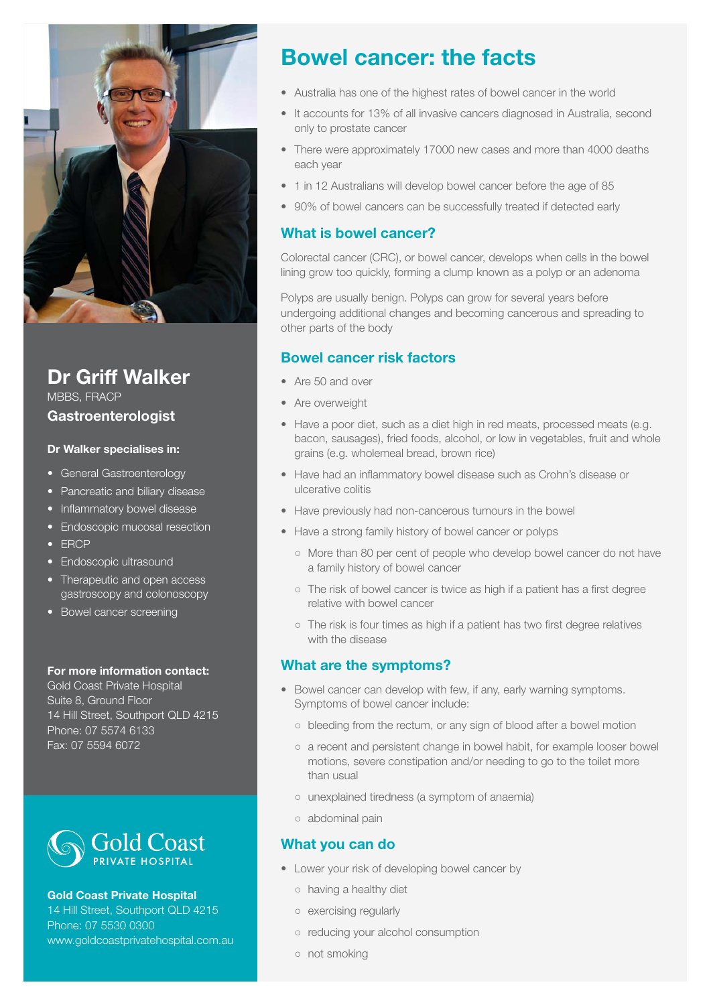

## **Dr Griff Walker**

MBBS, FRACP

#### **Gastroenterologist**

#### **Dr Walker specialises in:**

- General Gastroenterology
- Pancreatic and biliary disease
- Inflammatory bowel disease
- Endoscopic mucosal resection
- • ERCP
- Endoscopic ultrasound
- Therapeutic and open access gastroscopy and colonoscopy
- Bowel cancer screening

#### **For more information contact:**

Gold Coast Private Hospital Suite 8, Ground Floor 14 Hill Street, Southport QLD 4215 Phone: 07 5574 6133 Fax: 07 5594 6072



#### **Gold Coast Private Hospital**

14 Hill Street, Southport QLD 4215 Phone: 07 5530 0300 www.goldcoastprivatehospital.com.au

# **Bowel cancer: the facts**

- Australia has one of the highest rates of bowel cancer in the world
- It accounts for 13% of all invasive cancers diagnosed in Australia, second only to prostate cancer
- There were approximately 17000 new cases and more than 4000 deaths each year
- 1 in 12 Australians will develop bowel cancer before the age of 85
- 90% of bowel cancers can be successfully treated if detected early

## **What is bowel cancer?**

Colorectal cancer (CRC), or bowel cancer, develops when cells in the bowel lining grow too quickly, forming a clump known as a polyp or an adenoma

Polyps are usually benign. Polyps can grow for several years before undergoing additional changes and becoming cancerous and spreading to other parts of the body

### **Bowel cancer risk factors**

- Are 50 and over
- Are overweight
- Have a poor diet, such as a diet high in red meats, processed meats (e.g. bacon, sausages), fried foods, alcohol, or low in vegetables, fruit and whole grains (e.g. wholemeal bread, brown rice)
- Have had an inflammatory bowel disease such as Crohn's disease or ulcerative colitis
- Have previously had non-cancerous tumours in the bowel
- Have a strong family history of bowel cancer or polyps
	- More than 80 per cent of people who develop bowel cancer do not have a family history of bowel cancer
	- The risk of bowel cancer is twice as high if a patient has a first degree relative with bowel cancer
	- The risk is four times as high if a patient has two first degree relatives with the disease

## **What are the symptoms?**

- Bowel cancer can develop with few, if any, early warning symptoms. Symptoms of bowel cancer include:
	- bleeding from the rectum, or any sign of blood after a bowel motion
	- a recent and persistent change in bowel habit, for example looser bowel motions, severe constipation and/or needing to go to the toilet more than usual
	- unexplained tiredness (a symptom of anaemia)
	- abdominal pain

## **What you can do**

- Lower your risk of developing bowel cancer by
	- having a healthy diet
	- exercising regularly
	- reducing your alcohol consumption
	- not smoking